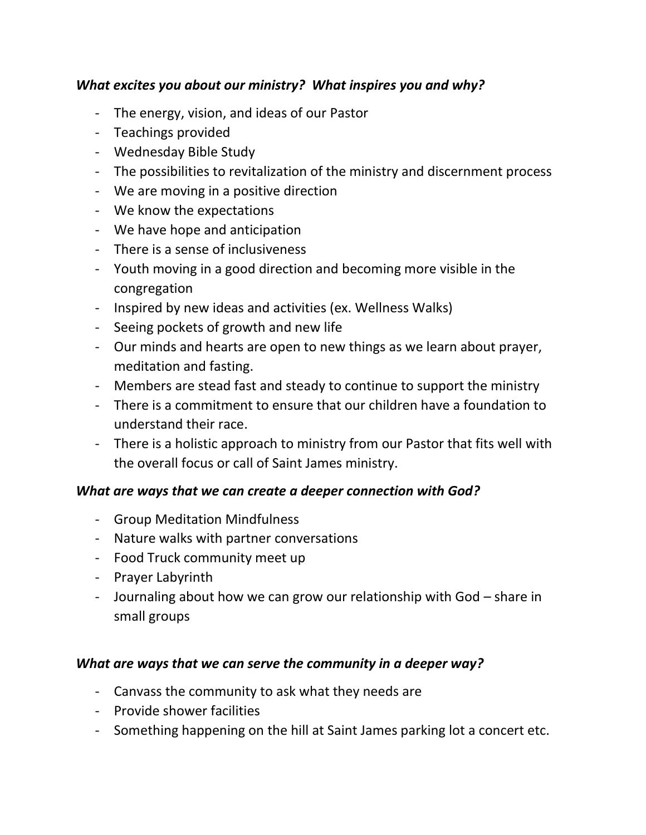## *What excites you about our ministry? What inspires you and why?*

- The energy, vision, and ideas of our Pastor
- Teachings provided
- Wednesday Bible Study
- The possibilities to revitalization of the ministry and discernment process
- We are moving in a positive direction
- We know the expectations
- We have hope and anticipation
- There is a sense of inclusiveness
- Youth moving in a good direction and becoming more visible in the congregation
- Inspired by new ideas and activities (ex. Wellness Walks)
- Seeing pockets of growth and new life
- Our minds and hearts are open to new things as we learn about prayer, meditation and fasting.
- Members are stead fast and steady to continue to support the ministry
- There is a commitment to ensure that our children have a foundation to understand their race.
- There is a holistic approach to ministry from our Pastor that fits well with the overall focus or call of Saint James ministry.

## *What are ways that we can create a deeper connection with God?*

- Group Meditation Mindfulness
- Nature walks with partner conversations
- Food Truck community meet up
- Prayer Labyrinth
- Journaling about how we can grow our relationship with God share in small groups

## *What are ways that we can serve the community in a deeper way?*

- Canvass the community to ask what they needs are
- Provide shower facilities
- Something happening on the hill at Saint James parking lot a concert etc.